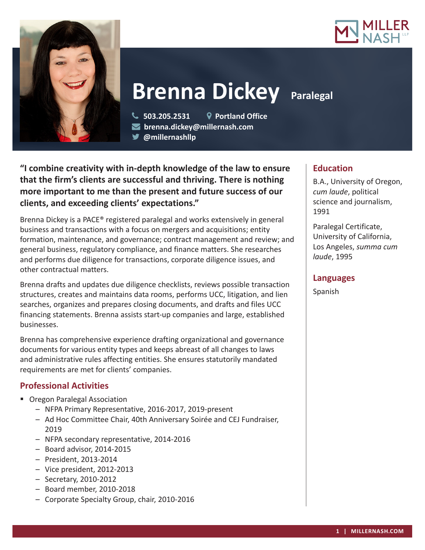



# **Brenna Dickey Paralegal**

 **503.205.2531 Portland Office brenna.dickey@millernash.com** 

**@millernashllp** 

**"I combine creativity with in-depth knowledge of the law to ensure that the firm's clients are successful and thriving. There is nothing more important to me than the present and future success of our clients, and exceeding clients' expectations."**

Brenna Dickey is a PACE® registered paralegal and works extensively in general business and transactions with a focus on mergers and acquisitions; entity formation, maintenance, and governance; contract management and review; and general business, regulatory compliance, and finance matters. She researches and performs due diligence for transactions, corporate diligence issues, and other contractual matters.

Brenna drafts and updates due diligence checklists, reviews possible transaction structures, creates and maintains data rooms, performs UCC, litigation, and lien searches, organizes and prepares closing documents, and drafts and files UCC financing statements. Brenna assists start-up companies and large, established businesses.

Brenna has comprehensive experience drafting organizational and governance documents for various entity types and keeps abreast of all changes to laws and administrative rules affecting entities. She ensures statutorily mandated requirements are met for clients' companies.

## **Professional Activities**

- **Oregon Paralegal Association** 
	- NFPA Primary Representative, 2016-2017, 2019-present
	- Ad Hoc Committee Chair, 40th Anniversary Soirée and CEJ Fundraiser, 2019
	- NFPA secondary representative, 2014-2016
	- Board advisor, 2014-2015
	- President, 2013-2014
	- Vice president, 2012-2013
	- Secretary, 2010-2012
	- Board member, 2010-2018
	- Corporate Specialty Group, chair, 2010-2016

# **Education**

B.A., University of Oregon, *cum laude*, political science and journalism, 1991

Paralegal Certificate, University of California, Los Angeles, *summa cum laude*, 1995

## **Languages**

Spanish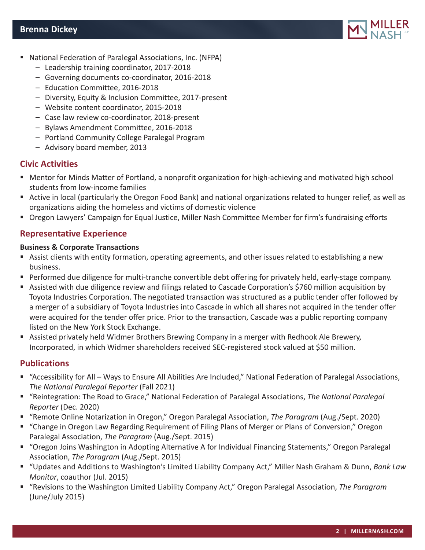

- National Federation of Paralegal Associations, Inc. (NFPA)
	- Leadership training coordinator, 2017-2018
	- Governing documents co-coordinator, 2016-2018
	- Education Committee, 2016-2018
	- Diversity, Equity & Inclusion Committee, 2017-present
	- Website content coordinator, 2015-2018
	- Case law review co-coordinator, 2018-present
	- Bylaws Amendment Committee, 2016-2018
	- Portland Community College Paralegal Program
	- Advisory board member, 2013

## **Civic Activities**

- Mentor for Minds Matter of Portland, a nonprofit organization for high-achieving and motivated high school students from low-income families
- Active in local (particularly the Oregon Food Bank) and national organizations related to hunger relief, as well as organizations aiding the homeless and victims of domestic violence
- Oregon Lawyers' Campaign for Equal Justice, Miller Nash Committee Member for firm's fundraising efforts

## **Representative Experience**

#### **Business & Corporate Transactions**

- Assist clients with entity formation, operating agreements, and other issues related to establishing a new business.
- Performed due diligence for multi-tranche convertible debt offering for privately held, early-stage company.
- Assisted with due diligence review and filings related to Cascade Corporation's \$760 million acquisition by Toyota Industries Corporation. The negotiated transaction was structured as a public tender offer followed by a merger of a subsidiary of Toyota Industries into Cascade in which all shares not acquired in the tender offer were acquired for the tender offer price. Prior to the transaction, Cascade was a public reporting company listed on the New York Stock Exchange.
- Assisted privately held Widmer Brothers Brewing Company in a merger with Redhook Ale Brewery, Incorporated, in which Widmer shareholders received SEC-registered stock valued at \$50 million.

## **Publications**

- "Accessibility for All Ways to Ensure All Abilities Are Included," National Federation of Paralegal Associations, *The National Paralegal Reporter* (Fall 2021)
- "Reintegration: The Road to Grace," National Federation of Paralegal Associations, *The National Paralegal Reporter* (Dec. 2020)
- "Remote Online Notarization in Oregon," Oregon Paralegal Association, *The Paragram* (Aug./Sept. 2020)
- "Change in Oregon Law Regarding Requirement of Filing Plans of Merger or Plans of Conversion," Oregon Paralegal Association, *The Paragram* (Aug./Sept. 2015)
- "Oregon Joins Washington in Adopting Alternative A for Individual Financing Statements," Oregon Paralegal Association, *The Paragram* (Aug./Sept. 2015)
- "Updates and Additions to Washington's Limited Liability Company Act," Miller Nash Graham & Dunn, *Bank Law Monitor*, coauthor (Jul. 2015)
- "Revisions to the Washington Limited Liability Company Act," Oregon Paralegal Association, *The Paragram* (June/July 2015)